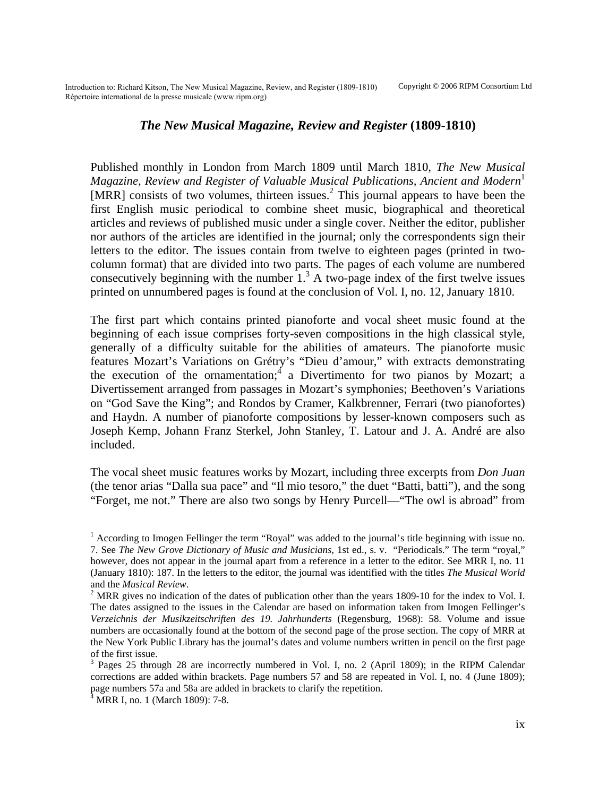## *The New Musical Magazine, Review and Register* **(1809-1810)**

Published monthly in London from March 1809 until March 1810, *The New Musical Magazine, Review and Register of Valuable Musical Publications, Ancient and Modern*<sup>[1](#page-0-0)</sup> [MRR] consists of two volumes, thirteen issues.<sup>[2](#page-0-1)</sup> This journal appears to have been the first English music periodical to combine sheet music, biographical and theoretical articles and reviews of published music under a single cover. Neither the editor, publisher nor authors of the articles are identified in the journal; only the correspondents sign their letters to the editor. The issues contain from twelve to eighteen pages (printed in twocolumn format) that are divided into two parts. The pages of each volume are numbered consecutively beginning with the number  $1<sup>3</sup>$  A two-page index of the first twelve issues printed on unnumbered pages is found at the conclusion of Vol. I, no. 12, January 1810.

The first part which contains printed pianoforte and vocal sheet music found at the beginning of each issue comprises forty-seven compositions in the high classical style, generally of a difficulty suitable for the abilities of amateurs. The pianoforte music features Mozart's Variations on Grétry's "Dieu d'amour," with extracts demonstrating the execution of the ornamentation;  $\frac{4}{3}$  $\frac{4}{3}$  $\frac{4}{3}$  a Divertimento for two pianos by Mozart; a Divertissement arranged from passages in Mozart's symphonies; Beethoven's Variations on "God Save the King"; and Rondos by Cramer, Kalkbrenner, Ferrari (two pianofortes) and Haydn. A number of pianoforte compositions by lesser-known composers such as Joseph Kemp, Johann Franz Sterkel, John Stanley, T. Latour and J. A. André are also included.

The vocal sheet music features works by Mozart, including three excerpts from *Don Juan* (the tenor arias "Dalla sua pace" and "Il mio tesoro," the duet "Batti, batti"), and the song "Forget, me not." There are also two songs by Henry Purcell—"The owl is abroad" from

<span id="page-0-0"></span><sup>&</sup>lt;sup>1</sup> According to Imogen Fellinger the term "Royal" was added to the journal's title beginning with issue no. 7. See *The New Grove Dictionary of Music and Musicians*, 1st ed., s. v. "Periodicals." The term "royal," however, does not appear in the journal apart from a reference in a letter to the editor. See MRR I, no. 11 (January 1810): 187. In the letters to the editor, the journal was identified with the titles *The Musical World* and the *Musical Review*.

<span id="page-0-1"></span><sup>&</sup>lt;sup>2</sup> MRR gives no indication of the dates of publication other than the years 1809-10 for the index to Vol. I. The dates assigned to the issues in the Calendar are based on information taken from Imogen Fellinger's *Verzeichnis der Musikzeitschriften des 19. Jahrhunderts* (Regensburg, 1968): 58. Volume and issue numbers are occasionally found at the bottom of the second page of the prose section. The copy of MRR at the New York Public Library has the journal's dates and volume numbers written in pencil on the first page of the first issue.

<span id="page-0-2"></span><sup>&</sup>lt;sup>3</sup> Pages 25 through 28 are incorrectly numbered in Vol. I, no. 2 (April 1809); in the RIPM Calendar corrections are added within brackets. Page numbers 57 and 58 are repeated in Vol. I, no. 4 (June 1809); page numbers 57a and 58a are added in brackets to clarify the repetition.

<span id="page-0-3"></span><sup>4</sup> MRR I, no. 1 (March 1809): 7-8.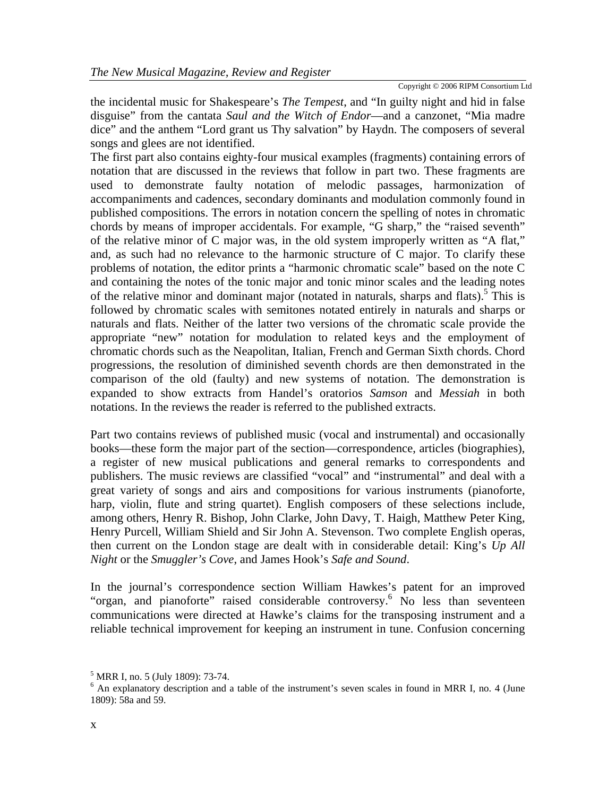Copyright © 2006 RIPM Consortium Ltd

the incidental music for Shakespeare's *The Tempest*, and "In guilty night and hid in false disguise" from the cantata *Saul and the Witch of Endor*—and a canzonet, "Mia madre dice" and the anthem "Lord grant us Thy salvation" by Haydn. The composers of several songs and glees are not identified.

The first part also contains eighty-four musical examples (fragments) containing errors of notation that are discussed in the reviews that follow in part two. These fragments are used to demonstrate faulty notation of melodic passages, harmonization of accompaniments and cadences, secondary dominants and modulation commonly found in published compositions. The errors in notation concern the spelling of notes in chromatic chords by means of improper accidentals. For example, "G sharp," the "raised seventh" of the relative minor of C major was, in the old system improperly written as "A flat," and, as such had no relevance to the harmonic structure of C major. To clarify these problems of notation, the editor prints a "harmonic chromatic scale" based on the note C and containing the notes of the tonic major and tonic minor scales and the leading notes of the relative minor and dominant major (notated in naturals, sharps and flats).<sup>[5](#page-1-0)</sup> This is followed by chromatic scales with semitones notated entirely in naturals and sharps or naturals and flats. Neither of the latter two versions of the chromatic scale provide the appropriate "new" notation for modulation to related keys and the employment of chromatic chords such as the Neapolitan, Italian, French and German Sixth chords. Chord progressions, the resolution of diminished seventh chords are then demonstrated in the comparison of the old (faulty) and new systems of notation. The demonstration is expanded to show extracts from Handel's oratorios *Samson* and *Messiah* in both notations. In the reviews the reader is referred to the published extracts.

Part two contains reviews of published music (vocal and instrumental) and occasionally books—these form the major part of the section—correspondence, articles (biographies), a register of new musical publications and general remarks to correspondents and publishers. The music reviews are classified "vocal" and "instrumental" and deal with a great variety of songs and airs and compositions for various instruments (pianoforte, harp, violin, flute and string quartet). English composers of these selections include, among others, Henry R. Bishop, John Clarke, John Davy, T. Haigh, Matthew Peter King, Henry Purcell, William Shield and Sir John A. Stevenson. Two complete English operas, then current on the London stage are dealt with in considerable detail: King's *Up All Night* or the *Smuggler's Cove*, and James Hook's *Safe and Sound*.

In the journal's correspondence section William Hawkes's patent for an improved "organ, and pianoforte" raised considerable controversy.<sup>[6](#page-1-1)</sup> No less than seventeen communications were directed at Hawke's claims for the transposing instrument and a reliable technical improvement for keeping an instrument in tune. Confusion concerning

<span id="page-1-0"></span><sup>&</sup>lt;sup>5</sup> MRR I, no. 5 (July 1809): 73-74.

<span id="page-1-1"></span><sup>&</sup>lt;sup>6</sup> An explanatory description and a table of the instrument's seven scales in found in MRR I, no. 4 (June 1809): 58a and 59.